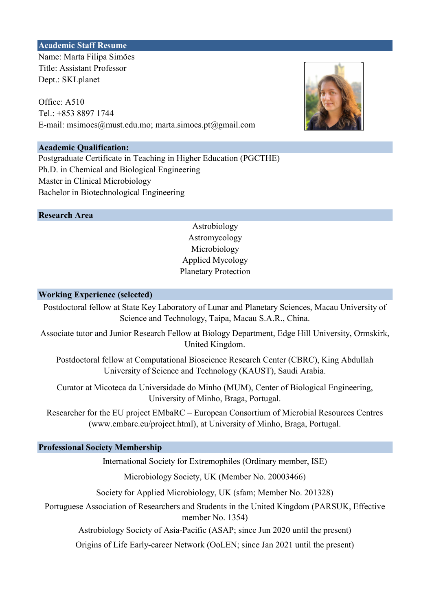#### Academic Staff Resume

Name: Marta Filipa Simões Title: Assistant Professor Dept.: SKLplanet

Office: A510 Tel.: +853 8897 1744 E-mail: msimoes@must.edu.mo; marta.simoes.pt@gmail.com

#### Academic Qualification:

Postgraduate Certificate in Teaching in Higher Education (PGCTHE) Master in Clinical Microbiology Bachelor in Biotechnological Engineering Ph.D. in Chemical and Biological Engineering

Research Area

# Astromycology Astrobiology Planetary Protection Microbiology Applied Mycology

#### Working Experience (selected)

Postdoctoral fellow at State Key Laboratory of Lunar and Planetary Sciences, Macau University of Science and Technology, Taipa, Macau S.A.R., China.

Associate tutor and Junior Research Fellow at Biology Department, Edge Hill University, Ormskirk, United Kingdom.

Postdoctoral fellow at Computational Bioscience Research Center (CBRC), King Abdullah University of Science and Technology (KAUST), Saudi Arabia.

Curator at Micoteca da Universidade do Minho (MUM), Center of Biological Engineering, University of Minho, Braga, Portugal.

Researcher for the EU project EMbaRC – European Consortium of Microbial Resources Centres (www.embarc.eu/project.html), at University of Minho, Braga, Portugal.

#### Professional Society Membership

International Society for Extremophiles (Ordinary member, ISE)

Microbiology Society, UK (Member No. 20003466)

Society for Applied Microbiology, UK (sfam; Member No. 201328)

Portuguese Association of Researchers and Students in the United Kingdom (PARSUK, Effective member No. 1354)

Astrobiology Society of Asia-Pacific (ASAP; since Jun 2020 until the present)

Origins of Life Early-career Network (OoLEN; since Jan 2021 until the present)

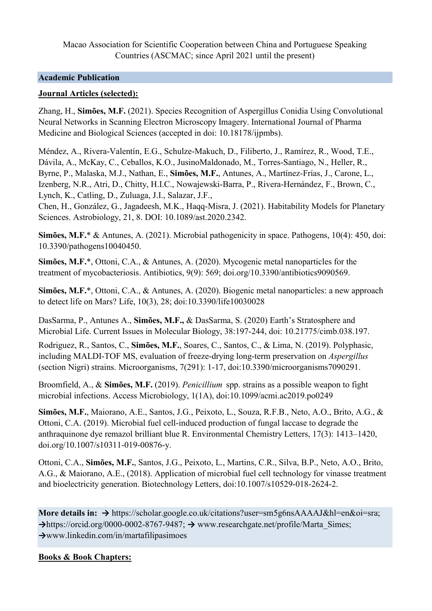Macao Association for Scientific Cooperation between China and Portuguese Speaking Countries (ASCMAC; since April 2021 until the present)

# Academic Publication

### Journal Articles (selected):

Zhang, H., Simões, M.F. (2021). Species Recognition of Aspergillus Conidia Using Convolutional Neural Networks in Scanning Electron Microscopy Imagery. International Journal of Pharma Medicine and Biological Sciences (accepted in doi: 10.18178/ijpmbs).

Méndez, A., Rivera-Valentín, E.G., Schulze-Makuch, D., Filiberto, J., Ramírez, R., Wood, T.E., Dávila, A., McKay, C., Ceballos, K.O., JusinoMaldonado, M., Torres-Santiago, N., Heller, R., Byrne, P., Malaska, M.J., Nathan, E., Simões, M.F., Antunes, A., Martínez-Frías, J., Carone, L., Izenberg, N.R., Atri, D., Chitty, H.I.C., Nowajewski-Barra, P., Rivera-Hernández, F., Brown, C., Lynch, K., Catling, D., Zuluaga, J.I., Salazar, J.F.,

Chen, H., González, G., Jagadeesh, M.K., Haqq-Misra, J. (2021). Habitability Models for Planetary Sciences. Astrobiology, 21, 8. DOI: 10.1089/ast.2020.2342.

Simões, M.F.\* & Antunes, A. (2021). Microbial pathogenicity in space. Pathogens, 10(4): 450, doi: 10.3390/pathogens10040450.

Simões, M.F.\*, Ottoni, C.A., & Antunes, A. (2020). Mycogenic metal nanoparticles for the treatment of mycobacteriosis. Antibiotics, 9(9): 569; doi.org/10.3390/antibiotics9090569.

Simões, M.F.\*, Ottoni, C.A., & Antunes, A. (2020). Biogenic metal nanoparticles: a new approach to detect life on Mars? Life, 10(3), 28; doi:10.3390/life10030028

DasSarma, P., Antunes A., Simões, M.F., & DasSarma, S. (2020) Earth's Stratosphere and Microbial Life. Current Issues in Molecular Biology, 38:197-244, doi: 10.21775/cimb.038.197.

Rodriguez, R., Santos, C., Simões, M.F., Soares, C., Santos, C., & Lima, N. (2019). Polyphasic, including MALDI-TOF MS, evaluation of freeze-drying long-term preservation on Aspergillus (section Nigri) strains. Microorganisms, 7(291): 1-17, doi:10.3390/microorganisms7090291.

Broomfield, A., & Simões, M.F. (2019). *Penicillium* spp. strains as a possible weapon to fight microbial infections. Access Microbiology, 1(1A), doi:10.1099/acmi.ac2019.po0249

Simões, M.F., Maiorano, A.E., Santos, J.G., Peixoto, L., Souza, R.F.B., Neto, A.O., Brito, A.G., & Ottoni, C.A. (2019). Microbial fuel cell-induced production of fungal laccase to degrade the anthraquinone dye remazol brilliant blue R. Environmental Chemistry Letters, 17(3): 1413–1420, doi.org/10.1007/s10311-019-00876-y.

Ottoni, C.A., Simões, M.F., Santos, J.G., Peixoto, L., Martins, C.R., Silva, B.P., Neto, A.O., Brito, A.G., & Maiorano, A.E., (2018). Application of microbial fuel cell technology for vinasse treatment and bioelectricity generation. Biotechnology Letters, doi:10.1007/s10529-018-2624-2.

More details in: → https://scholar.google.co.uk/citations?user=sm5g6nsAAAAJ&hl=en&oi=sra;  $\rightarrow$ https://orcid.org/0000-0002-8767-9487;  $\rightarrow$  www.researchgate.net/profile/Marta Simes; →www.linkedin.com/in/martafilipasimoes

### Books & Book Chapters: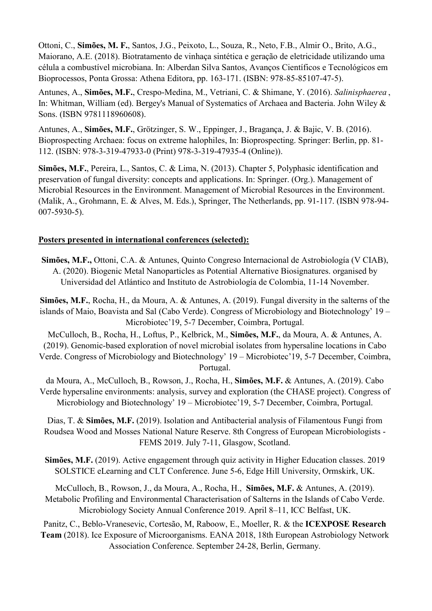Ottoni, C., Simões, M. F., Santos, J.G., Peixoto, L., Souza, R., Neto, F.B., Almir O., Brito, A.G., Maiorano, A.E. (2018). Biotratamento de vinhaça sintética e geração de eletricidade utilizando uma célula a combustível microbiana. In: Alberdan Silva Santos, Avanços Científicos e Tecnológicos em Bioprocessos, Ponta Grossa: Athena Editora, pp. 163-171. (ISBN: 978-85-85107-47-5).

Antunes, A., Simões, M.F., Crespo-Medina, M., Vetriani, C. & Shimane, Y. (2016). Salinisphaerea , In: Whitman, William (ed). Bergey's Manual of Systematics of Archaea and Bacteria. John Wiley & Sons. (ISBN 9781118960608).

Antunes, A., Simões, M.F., Grötzinger, S. W., Eppinger, J., Bragança, J. & Bajic, V. B. (2016). Bioprospecting Archaea: focus on extreme halophiles, In: Bioprospecting. Springer: Berlin, pp. 81- 112. (ISBN: 978-3-319-47933-0 (Print) 978-3-319-47935-4 (Online)).

Simões, M.F., Pereira, L., Santos, C. & Lima, N. (2013). Chapter 5, Polyphasic identification and preservation of fungal diversity: concepts and applications. In: Springer. (Org.). Management of Microbial Resources in the Environment. Management of Microbial Resources in the Environment. (Malik, A., Grohmann, E. & Alves, M. Eds.), Springer, The Netherlands, pp. 91-117. (ISBN 978-94- 007-5930-5).

# Posters presented in international conferences (selected):

Simões, M.F., Ottoni, C.A. & Antunes, Quinto Congreso Internacional de Astrobiología (V CIAB), A. (2020). Biogenic Metal Nanoparticles as Potential Alternative Biosignatures. organised by Universidad del Atlántico and Instituto de Astrobiología de Colombia, 11-14 November.

Simões, M.F., Rocha, H., da Moura, A. & Antunes, A. (2019). Fungal diversity in the salterns of the islands of Maio, Boavista and Sal (Cabo Verde). Congress of Microbiology and Biotechnology' 19 – Microbiotec'19, 5-7 December, Coimbra, Portugal.

McCulloch, B., Rocha, H., Loftus, P., Kelbrick, M., Simões, M.F., da Moura, A. & Antunes, A. (2019). Genomic-based exploration of novel microbial isolates from hypersaline locations in Cabo Verde. Congress of Microbiology and Biotechnology' 19 – Microbiotec'19, 5-7 December, Coimbra, Portugal.

da Moura, A., McCulloch, B., Rowson, J., Rocha, H., Simões, M.F. & Antunes, A. (2019). Cabo Verde hypersaline environments: analysis, survey and exploration (the CHASE project). Congress of Microbiology and Biotechnology' 19 – Microbiotec'19, 5-7 December, Coimbra, Portugal.

Dias, T. & Simões, M.F. (2019). Isolation and Antibacterial analysis of Filamentous Fungi from Roudsea Wood and Mosses National Nature Reserve. 8th Congress of European Microbiologists - FEMS 2019. July 7-11, Glasgow, Scotland.

Simões, M.F. (2019). Active engagement through quiz activity in Higher Education classes. 2019 SOLSTICE eLearning and CLT Conference. June 5-6, Edge Hill University, Ormskirk, UK.

McCulloch, B., Rowson, J., da Moura, A., Rocha, H., Simões, M.F. & Antunes, A. (2019). Metabolic Profiling and Environmental Characterisation of Salterns in the Islands of Cabo Verde. Microbiology Society Annual Conference 2019. April 8–11, ICC Belfast, UK.

Panitz, C., Beblo-Vranesevic, Cortesão, M, Raboow, E., Moeller, R. & the ICEXPOSE Research Team (2018). Ice Exposure of Microorganisms. EANA 2018, 18th European Astrobiology Network Association Conference. September 24-28, Berlin, Germany.